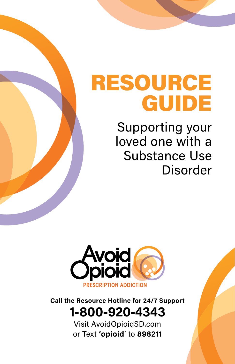# RESOURCE GUIDE

Supporting your loved one with a Substance Use Disorder



## **Call the Resource Hotline for 24/7 Support 1-800-920-4343**

Visit AvoidOpioidSD.com or Text **'opioid**' to **898211**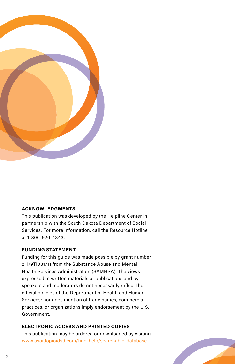

#### **ACKNOWLEDGMENTS**

This publication was developed by the Helpline Center in partnership with the South Dakota Department of Social Services. For more information, call the Resource Hotline at 1-800-920-4343.

#### **FUNDING STATEMENT**

Funding for this guide was made possible by grant number 2H79TI081711 from the Substance Abuse and Mental Health Services Administration (SAMHSA). The views expressed in written materials or publications and by speakers and moderators do not necessarily reflect the official policies of the Department of Health and Human Services; nor does mention of trade names, commercial practices, or organizations imply endorsement by the U.S. Government.

#### **ELECTRONIC ACCESS AND PRINTED COPIES**

This publication may be ordered or downloaded by visiting [www.avoidopioidsd.com/find-help/searchable-database.](http://avoidopioidsd.com/searchable-database)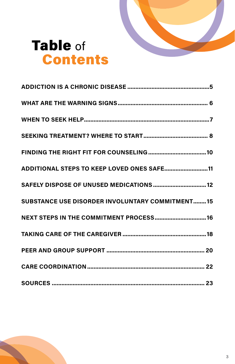

# Table of **Contents**

| ADDITIONAL STEPS TO KEEP LOVED ONES SAFE11      |
|-------------------------------------------------|
| SAFELY DISPOSE OF UNUSED MEDICATIONS  12        |
| SUBSTANCE USE DISORDER INVOLUNTARY COMMITMENT15 |
| NEXT STEPS IN THE COMMITMENT PROCESS 16         |
|                                                 |
|                                                 |
|                                                 |
|                                                 |

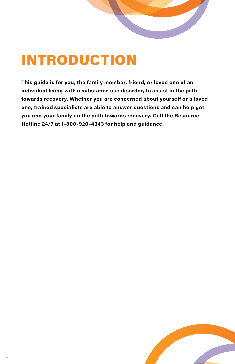# INTRODUCTION

**This guide is for you, the family member, friend, or loved one of an individual living with a substance use disorder, to assist in the path towards recovery. Whether you are concerned about yourself or a loved one, trained specialists are able to answer questions and can help get you and your family on the path towards recovery. Call the Resource Hotline 24/7 at 1-800-920-4343 for help and guidance.**

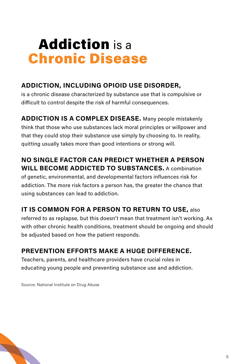# Addiction is a Chronic Disease

#### **ADDICTION, INCLUDING OPIOID USE DISORDER,**

is a chronic disease characterized by substance use that is compulsive or difficult to control despite the risk of harmful consequences.

**ADDICTION IS A COMPLEX DISEASE.** Many people mistakenly think that those who use substances lack moral principles or willpower and that they could stop their substance use simply by choosing to. In reality, quitting usually takes more than good intentions or strong will.

#### **NO SINGLE FACTOR CAN PREDICT WHETHER A PERSON WILL BECOME ADDICTED TO SUBSTANCES.** A combination

of genetic, environmental, and developmental factors influences risk for addiction. The more risk factors a person has, the greater the chance that using substances can lead to addiction.

#### **IT IS COMMON FOR A PERSON TO RETURN TO USE,** also

referred to as replapse, but this doesn't mean that treatment isn't working. As with other chronic health conditions, treatment should be ongoing and should be adjusted based on how the patient responds.

#### **PREVENTION EFFORTS MAKE A HUGE DIFFERENCE.**

Teachers, parents, and healthcare providers have crucial roles in educating young people and preventing substance use and addiction.

Source: National Institute on Drug Abuse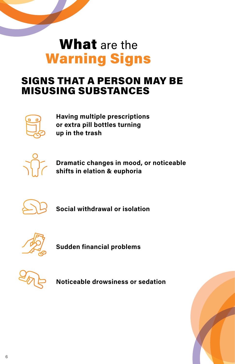# What are the Warning Signs

## SIGNS THAT A PERSON MAY BE MISUSING SUBSTANCES



**Having multiple prescriptions or extra pill bottles turning up in the trash**



**Dramatic changes in mood, or noticeable shifts in elation & euphoria**



**Social withdrawal or isolation**



**Sudden financial problems**



**Noticeable drowsiness or sedation**

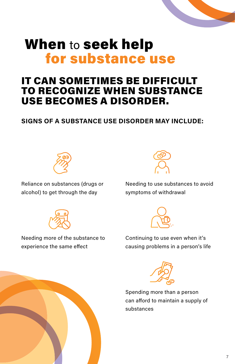# When to seek help for substance use

## IT CAN SOMETIMES BE DIFFICULT TO RECOGNIZE WHEN SUBSTANCE USE BECOMES A DISORDER.

#### **SIGNS OF A SUBSTANCE USE DISORDER MAY INCLUDE:**



Reliance on substances (drugs or alcohol) to get through the day



Needing to use substances to avoid symptoms of withdrawal





Needing more of the substance to experience the same effect







Spending more than a person can afford to maintain a supply of substances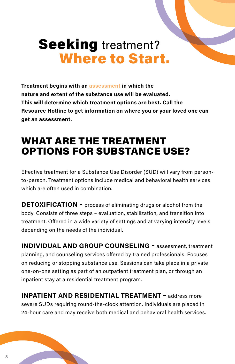# **Seeking** treatment? Where to Start.

**Treatment begins with an assessment in which the nature and extent of the substance use will be evaluated. This will determine which treatment options are best. Call the Resource Hotline to get information on where you or your loved one can get an assessment.** 

## WHAT ARE THE TREATMENT OPTIONS FOR SUBSTANCE USE?

Effective treatment for a Substance Use Disorder (SUD) will vary from personto-person. Treatment options include medical and behavioral health services which are often used in combination.

**DETOXIFICATION -** process of eliminating drugs or alcohol from the body. Consists of three steps – evaluation, stabilization, and transition into treatment. Offered in a wide variety of settings and at varying intensity levels depending on the needs of the individual.

**INDIVIDUAL AND GROUP COUNSELING –** assessment, treatment planning, and counseling services offered by trained professionals. Focuses on reducing or stopping substance use. Sessions can take place in a private one-on-one setting as part of an outpatient treatment plan, or through an inpatient stay at a residential treatment program.

**INPATIENT AND RESIDENTIAL TREATMENT - address more** severe SUDs requiring round-the-clock attention. Individuals are placed in 24-hour care and may receive both medical and behavioral health services.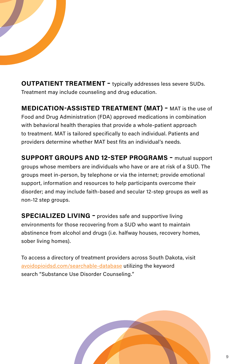**OUTPATIENT TREATMENT –** typically addresses less severe SUDs. Treatment may include counseling and drug education.

**MEDICATION-ASSISTED TREATMENT (MAT) –** MAT is the use of Food and Drug Administration (FDA) approved medications in combination with behavioral health therapies that provide a whole-patient approach to treatment. MAT is tailored specifically to each individual. Patients and providers determine whether MAT best fits an individual's needs.

**SUPPORT GROUPS AND 12-STEP PROGRAMS –** mutual support groups whose members are individuals who have or are at risk of a SUD. The groups meet in-person, by telephone or via the internet; provide emotional support, information and resources to help participants overcome their disorder; and may include faith-based and secular 12-step groups as well as non-12 step groups.

**SPECIALIZED LIVING –** provides safe and supportive living environments for those recovering from a SUD who want to maintain abstinence from alcohol and drugs (i.e. halfway houses, recovery homes, sober living homes).

To access a directory of treatment providers across South Dakota, visit [avoidopioidsd.com/searchable-database](http://avoidopioidsd.com/searchable-database) utilizing the keyword search "Substance Use Disorder Counseling."

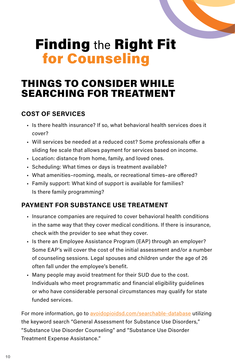# Finding the Right Fit for Counseling

## THINGS TO CONSIDER WHILE SEARCHING FOR TREATMENT

#### **COST OF SERVICES**

- Is there health insurance? If so, what behavioral health services does it cover?
- Will services be needed at a reduced cost? Some professionals offer a sliding fee scale that allows payment for services based on income.
- Location: distance from home, family, and loved ones.
- Scheduling: What times or days is treatment available?
- What amenities–rooming, meals, or recreational times–are offered?
- Family support: What kind of support is available for families? Is there family programming?

#### **PAYMENT FOR SUBSTANCE USE TREATMENT**

- Insurance companies are required to cover behavioral health conditions in the same way that they cover medical conditions. If there is insurance, check with the provider to see what they cover.
- Is there an Employee Assistance Program (EAP) through an employer? Some EAP's will cover the cost of the initial assessment and/or a number of counseling sessions. Legal spouses and children under the age of 26 often fall under the employee's benefit.
- Many people may avoid treatment for their SUD due to the cost. Individuals who meet programmatic and financial eligibility guidelines or who have considerable personal circumstances may qualify for state funded services.

For more information, go to [avoidopioidsd.com/searchable-database](http://avoidopioidsd.com/searchable-database) utilizing the keyword search "General Assessment for Substance Use Disorders," "Substance Use Disorder Counseling" and "Substance Use Disorder Treatment Expense Assistance."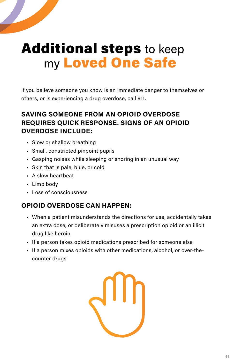# Additional steps to keep my Loved One Safe

If you believe someone you know is an immediate danger to themselves or others, or is experiencing a drug overdose, call 911.

#### **SAVING SOMEONE FROM AN OPIOID OVERDOSE REQUIRES QUICK RESPONSE. SIGNS OF AN OPIOID OVERDOSE INCLUDE:**

- Slow or shallow breathing
- Small, constricted pinpoint pupils
- Gasping noises while sleeping or snoring in an unusual way
- Skin that is pale, blue, or cold
- A slow heartbeat
- Limp body
- Loss of consciousness

#### **OPIOID OVERDOSE CAN HAPPEN:**

- When a patient misunderstands the directions for use, accidentally takes an extra dose, or deliberately misuses a prescription opioid or an illicit drug like heroin
- If a person takes opioid medications prescribed for someone else
- If a person mixes opioids with other medications, alcohol, or over-thecounter drugs

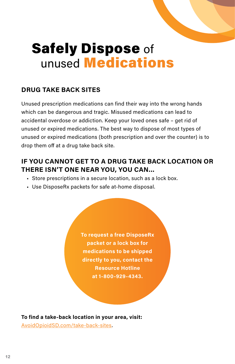

# Safely Dispose of unused Medications

#### **DRUG TAKE BACK SITES**

Unused prescription medications can find their way into the wrong hands which can be dangerous and tragic. Misused medications can lead to accidental overdose or addiction. Keep your loved ones safe – get rid of unused or expired medications. The best way to dispose of most types of unused or expired medications (both prescription and over the counter) is to drop them off at a drug take back site.

#### **IF YOU CANNOT GET TO A DRUG TAKE BACK LOCATION OR THERE ISN'T ONE NEAR YOU, YOU CAN...**

- Store prescriptions in a secure location, such as a lock box.
- Use DisposeRx packets for safe at-home disposal.

**To request a free DisposeRx packet or a lock box for medications to be shipped directly to you, contact the Resource Hotline at 1-800-929-4343.**

**To find a take-back location in your area, visit:** [AvoidOpioidSD.com/take-back-sites](http://AvoidOpioidSD.com/take-back-sites).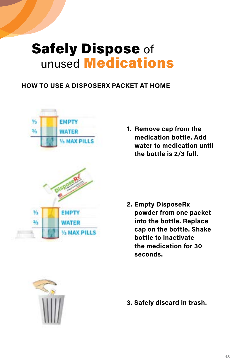# Safely Dispose of unused Medications

#### **HOW TO USE A DISPOSERX PACKET AT HOME**



**1. Remove cap from the medication bottle. Add water to medication until the bottle is 2/3 full.**

**2. Empty DisposeRx powder from one packet into the bottle. Replace cap on the bottle. Shake bottle to inactivate the medication for 30 seconds.**



**3. Safely discard in trash.**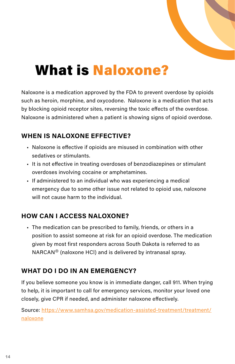

# What is Naloxone?

Naloxone is a medication approved by the FDA to prevent overdose by opioids such as heroin, morphine, and oxycodone. Naloxone is a medication that acts by blocking opioid receptor sites, reversing the toxic effects of the overdose. Naloxone is administered when a patient is showing signs of opioid overdose.

#### **WHEN IS NALOXONE EFFECTIVE?**

- Naloxone is effective if opioids are misused in combination with other sedatives or stimulants.
- It is not effective in treating overdoses of benzodiazepines or stimulant overdoses involving cocaine or amphetamines.
- If administered to an individual who was experiencing a medical emergency due to some other issue not related to opioid use, naloxone will not cause harm to the individual.

#### **HOW CAN I ACCESS NALOXONE?**

• The medication can be prescribed to family, friends, or others in a position to assist someone at risk for an opioid overdose. The medication given by most first responders across South Dakota is referred to as NARCAN*®* (naloxone HCl) and is delivered by intranasal spray.

#### **WHAT DO I DO IN AN EMERGENCY?**

If you believe someone you know is in immediate danger, call 911. When trying to help, it is important to call for emergency services, monitor your loved one closely, give CPR if needed, and administer naloxone effectively.

Source: [https://www.samhsa.gov/medication-assisted-treatment/treatment/](https://www.samhsa.gov/medication-assisted-treatment/treatment/naloxone) [naloxone](https://www.samhsa.gov/medication-assisted-treatment/treatment/naloxone)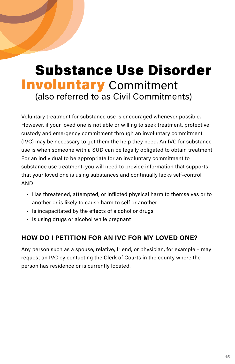# Substance Use Disorder **Involuntary** Commitment (also referred to as Civil Commitments)

Voluntary treatment for substance use is encouraged whenever possible. However, if your loved one is not able or willing to seek treatment, protective custody and emergency commitment through an involuntary commitment (IVC) may be necessary to get them the help they need. An IVC for substance use is when someone with a SUD can be legally obligated to obtain treatment. For an individual to be appropriate for an involuntary commitment to substance use treatment, you will need to provide information that supports that your loved one is using substances and continually lacks self-control, AND

- Has threatened, attempted, or inflicted physical harm to themselves or to another or is likely to cause harm to self or another
- Is incapacitated by the effects of alcohol or drugs
- Is using drugs or alcohol while pregnant

#### **HOW DO I PETITION FOR AN IVC FOR MY LOVED ONE?**

Any person such as a spouse, relative, friend, or physician, for example – may request an IVC by contacting the Clerk of Courts in the county where the person has residence or is currently located.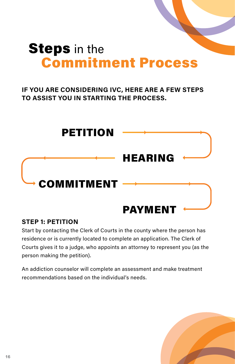# **Steps** in the Commitment Process

#### **IF YOU ARE CONSIDERING IVC, HERE ARE A FEW STEPS TO ASSIST YOU IN STARTING THE PROCESS.**



#### **STEP 1: PETITION**

Start by contacting the Clerk of Courts in the county where the person has residence or is currently located to complete an application. The Clerk of Courts gives it to a judge, who appoints an attorney to represent you (as the person making the petition).

An addiction counselor will complete an assessment and make treatment recommendations based on the individual's needs.

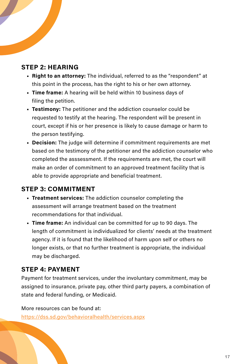#### **STEP 2: HEARING**

- **• Right to an attorney:** The individual, referred to as the "respondent" at this point in the process, has the right to his or her own attorney.
- **• Time frame:** A hearing will be held within 10 business days of filing the petition.
- **• Testimony:** The petitioner and the addiction counselor could be requested to testify at the hearing. The respondent will be present in court, except if his or her presence is likely to cause damage or harm to the person testifying.
- **• Decision:** The judge will determine if commitment requirements are met based on the testimony of the petitioner and the addiction counselor who completed the asssessment. If the requirements are met, the court will make an order of commitment to an approved treatment facility that is able to provide appropriate and beneficial treatment.

#### **STEP 3: COMMITMENT**

- **• Treatment services:** The addiction counselor completing the assessment will arrange treatment based on the treatment recommendations for that individual.
- **• Time frame:** An individual can be committed for up to 90 days. The length of commitment is individualized for clients' needs at the treatment agency. If it is found that the likelihood of harm upon self or others no longer exists, or that no further treatment is appropriate, the individual may be discharged.

#### **STEP 4: PAYMENT**

Payment for treatment services, under the involuntary commitment, may be assigned to insurance, private pay, other third party payers, a combination of state and federal funding, or Medicaid.

More resources can be found at: https://dss.sd.gov/behavioralhealth/services.aspx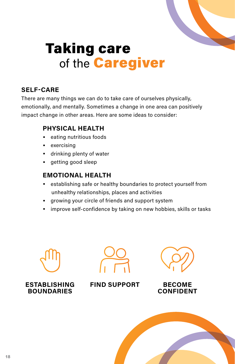

# Taking care of the **Caregiver**

#### **SELF-CARE**

There are many things we can do to take care of ourselves physically, emotionally, and mentally. Sometimes a change in one area can positively impact change in other areas. Here are some ideas to consider:

#### **PHYSICAL HEALTH**

- •eating nutritious foods
- •exercising
- •drinking plenty of water
- •getting good sleep

#### **EMOTIONAL HEALTH**

- •establishing safe or healthy boundaries to protect yourself from unhealthy relationships, places and activities
- •growing your circle of friends and support system
- •improve self-confidence by taking on new hobbies, skills or tasks





**ESTABLISHING BOUNDARIES**

**FIND SUPPORT BECOME** 

# **CONFIDENT**

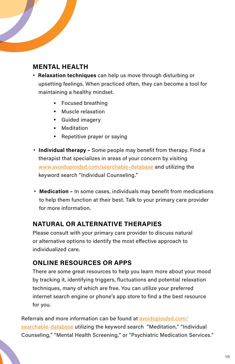#### **MENTAL HEALTH**

- **Relaxation techniques** can help us move through disturbing or upsetting feelings. When practiced often, they can become a tool for maintaining a healthy mindset.
	- •Focused breathing
	- •Muscle relaxation
	- •Guided imagery
	- •Meditation
	- •Repetitive prayer or saying
- **Individual therapy –** Some people may benefit from therapy. Find a therapist that specializes in areas of your concern by visiting [www.avoidopioidsd.com/searchable-database](http://avoidopioidsd.com/searchable-database) and utilizing the keyword search "Individual Counseling."
- **Medication –** In some cases, individuals may benefit from medications to help them function at their best. Talk to your primary care provider for more information.

#### **NATURAL OR ALTERNATIVE THERAPIES**

Please consult with your primary care provider to discuss natural or alternative options to identify the most effective approach to individualized care.

#### **ONLINE RESOURCES OR APPS**

There are some great resources to help you learn more about your mood by tracking it, identifying triggers, fluctuations and potential relaxation techniques, many of which are free. You can utilize your preferred internet search engine or phone's app store to find a the best resource for you.

Referrals and more information can be found at [avoidopioidsd.com/](http://avoidopioidsd.com/searchable-database) [searchable-database](http://avoidopioidsd.com/searchable-database) utilizing the keyword search "Meditation," "Individual Counseling," "Mental Health Screening," or "Psychiatric Medication Services."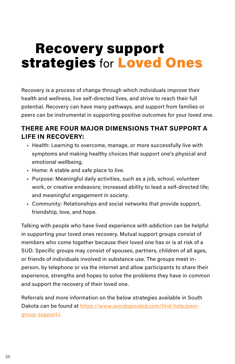# Recovery support **strategies for Loved Ones**

Recovery is a process of change through which individuals improve their health and wellness, live self-directed lives, and strive to reach their full potential. Recovery can have many pathways, and support from families or peers can be instrumental in supporting positive outcomes for your loved one.

#### **THERE ARE FOUR MAJOR DIMENSIONS THAT SUPPORT A LIFE IN RECOVERY:**

- Health: Learning to overcome, manage, or more successfully live with symptoms and making healthy choices that support one's physical and emotional wellbeing.
- Home: A stable and safe place to live.
- Purpose: Meaningful daily activities, such as a job, school, volunteer work, or creative endeavors; increased ability to lead a self-directed life; and meaningful engagement in society.
- Community: Relationships and social networks that provide support, friendship, love, and hope.

Talking with people who have lived experience with addiction can be helpful in supporting your loved ones recovery. Mutual support groups consist of members who come together because their loved one has or is at risk of a SUD. Specific groups may consist of spouses, partners, children of all ages, or friends of individuals involved in substance use. The groups meet inperson, by telephone or via the internet and allow participants to share their experience, strengths and hopes to solve the problems they have in common and support the recovery of their loved one.

Referrals and more information on the below strategies available in South Dakota can be found at [https://www.avoidopioidsd.com/find-help/peer](https://www.avoidopioidsd.com/find-help/peer-group-support/)[group-support/](https://www.avoidopioidsd.com/find-help/peer-group-support/).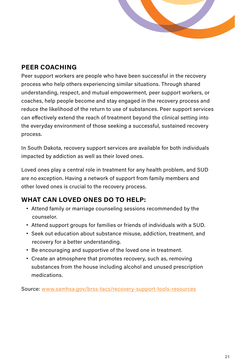#### **PEER COACHING**

Peer support workers are people who have been successful in the recovery process who help others experiencing similar situations. Through shared understanding, respect, and mutual empowerment, peer support workers, or coaches, help people become and stay engaged in the recovery process and reduce the likelihood of the return to use of substances. Peer support services can effectively extend the reach of treatment beyond the clinical setting into the everyday environment of those seeking a successful, sustained recovery process.

In South Dakota, recovery support services are available for both individuals impacted by addiction as well as their loved ones.

Loved ones play a central role in treatment for any health problem, and SUD are no exception. Having a network of support from family members and other loved ones is crucial to the recovery process.

#### **WHAT CAN LOVED ONES DO TO HELP:**

- Attend family or marriage counseling sessions recommended by the counselor.
- Attend support groups for families or friends of individuals with a SUD.
- Seek out education about substance misuse, addiction, treatment, and recovery for a better understanding.
- Be encouraging and supportive of the loved one in treatment.
- Create an atmosphere that promotes recovery, such as, removing substances from the house including alcohol and unused prescription medications.

Source: [www.samhsa.gov/brss-tacs/recovery-support-tools-resources](http://www.samhsa.gov/brss-tacs/recovery-support-tools-resources)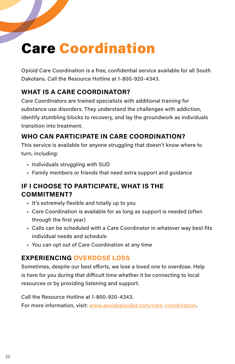# Care Coordination

Opioid Care Coordination is a free, confidential service available for all South Dakotans. Call the Resource Hotline at 1-800-920-4343.

#### **WHAT IS A CARE COORDINATOR?**

Care Coordinators are trained specialists with additional training for substance use disorders. They understand the challenges with addiction, identify stumbling blocks to recovery, and lay the groundwork as individuals transition into treatment.

#### **WHO CAN PARTICIPATE IN CARE COORDINATION?**

This service is available for anyone struggling that doesn't know where to turn, including:

- Individuals struggling with SUD
- Family members or friends that need extra support and guidance

#### **IF I CHOOSE TO PARTICIPATE, WHAT IS THE COMMITMENT?**

- It's extremely flexible and totally up to you
- Care Coordination is available for as long as support is needed (often through the first year)
- Calls can be scheduled with a Care Coordinator in whatever way best fits individual needs and schedule
- You can opt out of Care Coordination at any time

#### **EXPERIENCING OVERDOSE LOSS**

Sometimes, despite our best efforts, we lose a loved one to overdose. Help is here for you during that difficult time whether it be connecting to local resources or by providing listening and support.

Call the Resource Hotline at 1-800-920-4343.

For more information, visit: [www.avoidopioidsd.com/care-coordination.](http://www.avoidopioidsd.com/care-coordination)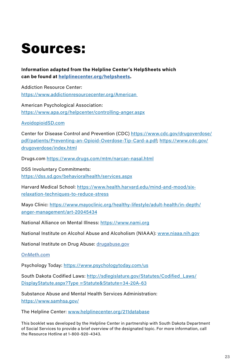# Sources:

**Information adapted from the Helpline Center's HelpSheets which can be found at [helplinecenter.org/helpsheets](http://helplinecenter.org/helpsheets).**

Addiction Resource Center: https://www.addictionresourcecenter.org/American

American Psychological Association: https://www.apa.org/helpcenter/controlling-anger.aspx

AvoidopioidSD.com

Center for Disease Control and Prevention (CDC) https://www.cdc.gov/drugoverdose/ pdf/patients/Preventing-an-Opioid-Overdose-Tip-Card-a.pdf; https://www.cdc.gov/ drugoverdose/index.html

Drugs.com https://www.drugs.com/mtm/narcan-nasal.html

DSS Involuntary Commitments: https://dss.sd.gov/behavioralhealth/services.aspx

Harvard Medical School: https://www.health.harvard.edu/mind-and-mood/sixrelaxation-techniques-to-reduce-stress

Mayo Clinic: https://www.mayoclinic.org/healthy-lifestyle/adult-health/in-depth/ anger-management/art-20045434

National Alliance on Mental Illness: https://www.nami.org

National Institute on Alcohol Abuse and Alcoholism (NIAAA): www.niaaa.nih.gov

National Institute on Drug Abuse: [drugabuse.gov](http://drugabuse.gov)

#### [OnMeth.com](http://OnMeth.com)

Psychology Today: https://www.psychologytoday.com/us

South Dakota Codified Laws: http://sdlegislature.gov/Statutes/Codified\_Laws/ DisplayStatute.aspx?Type =Statute&Statute=34-20A-63

Substance Abuse and Mental Health Services Administration: https://www.samhsa.gov/

The Helpline Center: www.helplinecenter.org/211database

This booklet was developed by the Helpline Center in partnership with South Dakota Department of Social Services to provide a brief overview of the designated topic. For more information, call the Resource Hotline at 1-800-920-4343.